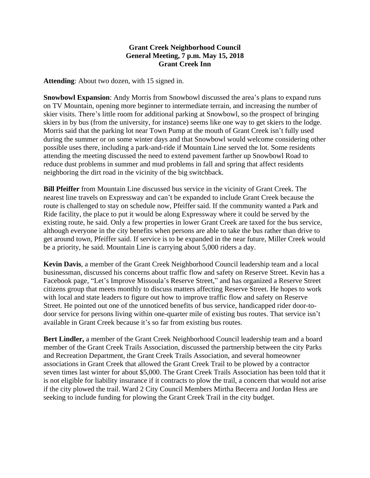## **Grant Creek Neighborhood Council General Meeting, 7 p.m. May 15, 2018 Grant Creek Inn**

**Attending**: About two dozen, with 15 signed in.

**Snowbowl Expansion**: Andy Morris from Snowbowl discussed the area's plans to expand runs on TV Mountain, opening more beginner to intermediate terrain, and increasing the number of skier visits. There's little room for additional parking at Snowbowl, so the prospect of bringing skiers in by bus (from the university, for instance) seems like one way to get skiers to the lodge. Morris said that the parking lot near Town Pump at the mouth of Grant Creek isn't fully used during the summer or on some winter days and that Snowbowl would welcome considering other possible uses there, including a park-and-ride if Mountain Line served the lot. Some residents attending the meeting discussed the need to extend pavement farther up Snowbowl Road to reduce dust problems in summer and mud problems in fall and spring that affect residents neighboring the dirt road in the vicinity of the big switchback.

**Bill Pfeiffer** from Mountain Line discussed bus service in the vicinity of Grant Creek. The nearest line travels on Expressway and can't be expanded to include Grant Creek because the route is challenged to stay on schedule now, Pfeiffer said. If the community wanted a Park and Ride facility, the place to put it would be along Expressway where it could be served by the existing route, he said. Only a few properties in lower Grant Creek are taxed for the bus service, although everyone in the city benefits when persons are able to take the bus rather than drive to get around town, Pfeiffer said. If service is to be expanded in the near future, Miller Creek would be a priority, he said. Mountain Line is carrying about 5,000 riders a day.

**Kevin Davis**, a member of the Grant Creek Neighborhood Council leadership team and a local businessman, discussed his concerns about traffic flow and safety on Reserve Street. Kevin has a Facebook page, "Let's Improve Missoula's Reserve Street," and has organized a Reserve Street citizens group that meets monthly to discuss matters affecting Reserve Street. He hopes to work with local and state leaders to figure out how to improve traffic flow and safety on Reserve Street. He pointed out one of the unnoticed benefits of bus service, handicapped rider door-todoor service for persons living within one-quarter mile of existing bus routes. That service isn't available in Grant Creek because it's so far from existing bus routes.

**Bert Lindler,** a member of the Grant Creek Neighborhood Council leadership team and a board member of the Grant Creek Trails Association, discussed the partnership between the city Parks and Recreation Department, the Grant Creek Trails Association, and several homeowner associations in Grant Creek that allowed the Grant Creek Trail to be plowed by a contractor seven times last winter for about \$5,000. The Grant Creek Trails Association has been told that it is not eligible for liability insurance if it contracts to plow the trail, a concern that would not arise if the city plowed the trail. Ward 2 City Council Members Mirtha Becerra and Jordan Hess are seeking to include funding for plowing the Grant Creek Trail in the city budget.